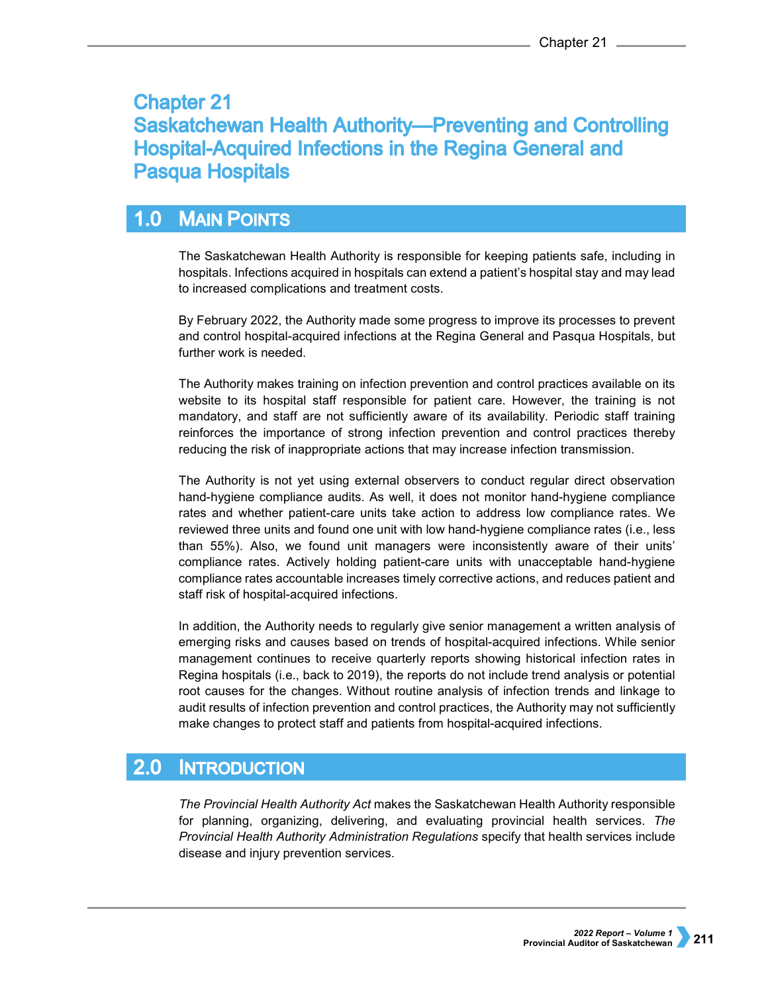# **Chapter 21 Saskatchewan Health Authority-Preventing and Controlling Hospital-Acquired Infections in the Regina General and Pasqua Hospitals**

### **MAIN POINTS**  $1.0$

The Saskatchewan Health Authority is responsible for keeping patients safe, including in hospitals. Infections acquired in hospitals can extend a patient's hospital stay and may lead to increased complications and treatment costs.

By February 2022, the Authority made some progress to improve its processes to prevent and control hospital-acquired infections at the Regina General and Pasqua Hospitals, but further work is needed.

The Authority makes training on infection prevention and control practices available on its website to its hospital staff responsible for patient care. However, the training is not mandatory, and staff are not sufficiently aware of its availability. Periodic staff training reinforces the importance of strong infection prevention and control practices thereby reducing the risk of inappropriate actions that may increase infection transmission.

The Authority is not yet using external observers to conduct regular direct observation hand-hygiene compliance audits. As well, it does not monitor hand-hygiene compliance rates and whether patient-care units take action to address low compliance rates. We reviewed three units and found one unit with low hand-hygiene compliance rates (i.e., less than 55%). Also, we found unit managers were inconsistently aware of their units' compliance rates. Actively holding patient-care units with unacceptable hand-hygiene compliance rates accountable increases timely corrective actions, and reduces patient and staff risk of hospital-acquired infections.

In addition, the Authority needs to regularly give senior management a written analysis of emerging risks and causes based on trends of hospital-acquired infections. While senior management continues to receive quarterly reports showing historical infection rates in Regina hospitals (i.e., back to 2019), the reports do not include trend analysis or potential root causes for the changes. Without routine analysis of infection trends and linkage to audit results of infection prevention and control practices, the Authority may not sufficiently make changes to protect staff and patients from hospital-acquired infections.

### $2.0$ **INTRODUCTION**

*The Provincial Health Authority Act* makes the Saskatchewan Health Authority responsible for planning, organizing, delivering, and evaluating provincial health services. *The Provincial Health Authority Administration Regulations* specify that health services include disease and injury prevention services.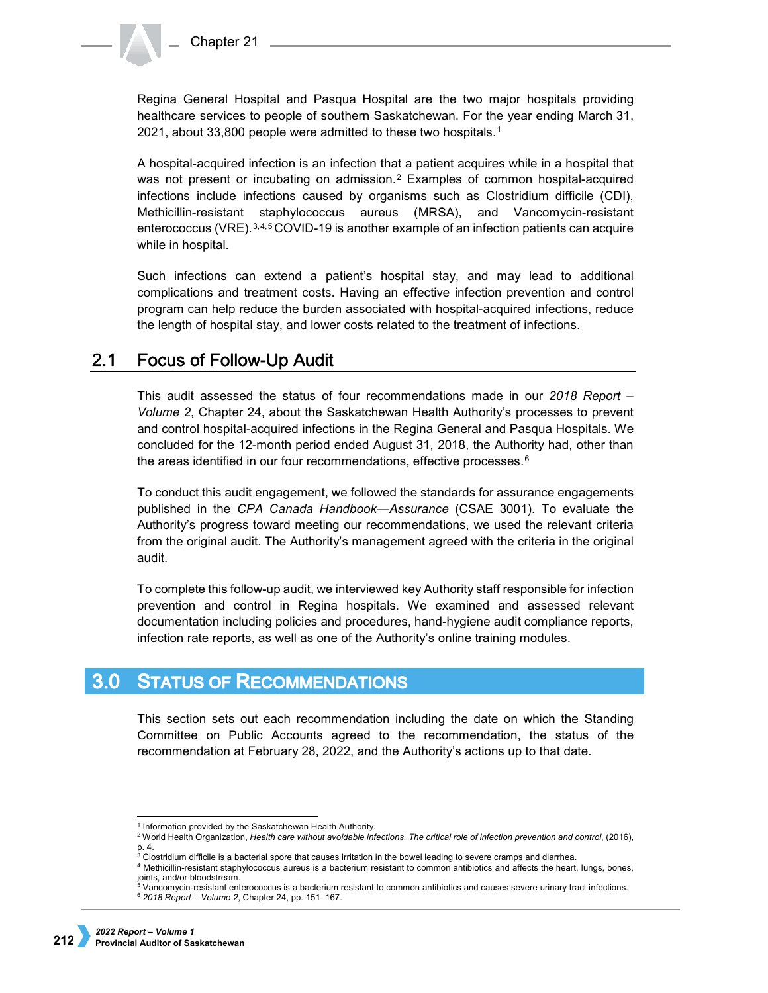Regina General Hospital and Pasqua Hospital are the two major hospitals providing healthcare services to people of southern Saskatchewan. For the year ending March 31, 2021, about 33,800 people were admitted to these two hospitals.[1](#page-1-0)

A hospital-acquired infection is an infection that a patient acquires while in a hospital that was not present or incubating on admission.<sup>[2](#page-1-1)</sup> Examples of common hospital-acquired infections include infections caused by organisms such as Clostridium difficile (CDI), Methicillin-resistant staphylococcus aureus (MRSA), and Vancomycin-resistant enterococcus (VRE).[3](#page-1-2),[4](#page-1-3),[5](#page-1-4) COVID-19 is another example of an infection patients can acquire while in hospital.

Such infections can extend a patient's hospital stay, and may lead to additional complications and treatment costs. Having an effective infection prevention and control program can help reduce the burden associated with hospital-acquired infections, reduce the length of hospital stay, and lower costs related to the treatment of infections.

#### $2.1$ **Focus of Follow-Up Audit**

This audit assessed the status of four recommendations made in our *2018 Report – Volume 2*, Chapter 24, about the Saskatchewan Health Authority's processes to prevent and control hospital-acquired infections in the Regina General and Pasqua Hospitals. We concluded for the 12-month period ended August 31, 2018, the Authority had, other than the areas identified in our four recommendations, effective processes.<sup>[6](#page-1-5)</sup>

To conduct this audit engagement, we followed the standards for assurance engagements published in the *CPA Canada Handbook—Assurance* (CSAE 3001). To evaluate the Authority's progress toward meeting our recommendations, we used the relevant criteria from the original audit. The Authority's management agreed with the criteria in the original audit.

To complete this follow-up audit, we interviewed key Authority staff responsible for infection prevention and control in Regina hospitals. We examined and assessed relevant documentation including policies and procedures, hand-hygiene audit compliance reports, infection rate reports, as well as one of the Authority's online training modules.

### **STATUS OF RECOMMENDATIONS**  $3.0<sub>1</sub>$

This section sets out each recommendation including the date on which the Standing Committee on Public Accounts agreed to the recommendation, the status of the recommendation at February 28, 2022, and the Authority's actions up to that date.

 <sup>1</sup> Information provided by the Saskatchewan Health Authority.

<span id="page-1-1"></span><span id="page-1-0"></span><sup>2</sup> World Health Organization, *Health care without avoidable infections, The critical role of infection prevention and control*, (2016), p. 4.

 $3$  Clostridium difficile is a bacterial spore that causes irritation in the bowel leading to severe cramps and diarrhea.

<span id="page-1-5"></span><span id="page-1-4"></span><span id="page-1-3"></span><span id="page-1-2"></span><sup>4</sup> Methicillin-resistant staphylococcus aureus is a bacterium resistant to common antibiotics and affects the heart, lungs, bones, joints, and/or bloodstream.

<sup>5</sup> Vancomycin-resistant enterococcus is a bacterium resistant to common antibiotics and causes severe urinary tract infections. <sup>6</sup> *[2018 Report – Volume 2](https://auditor.sk.ca/pub/publications/public_reports/2018/Volume_2/CH%2024%20-%20Saskatchewan%20Health%20Authority%E2%80%94Preventing%20and%20Controlling%20Hospital-acquired%20Infections%20in%20the%20Regina%20General%20Hospital%20and%20Pasqua%20Hospital.pdf)*, Chapter 24, pp. 151–167.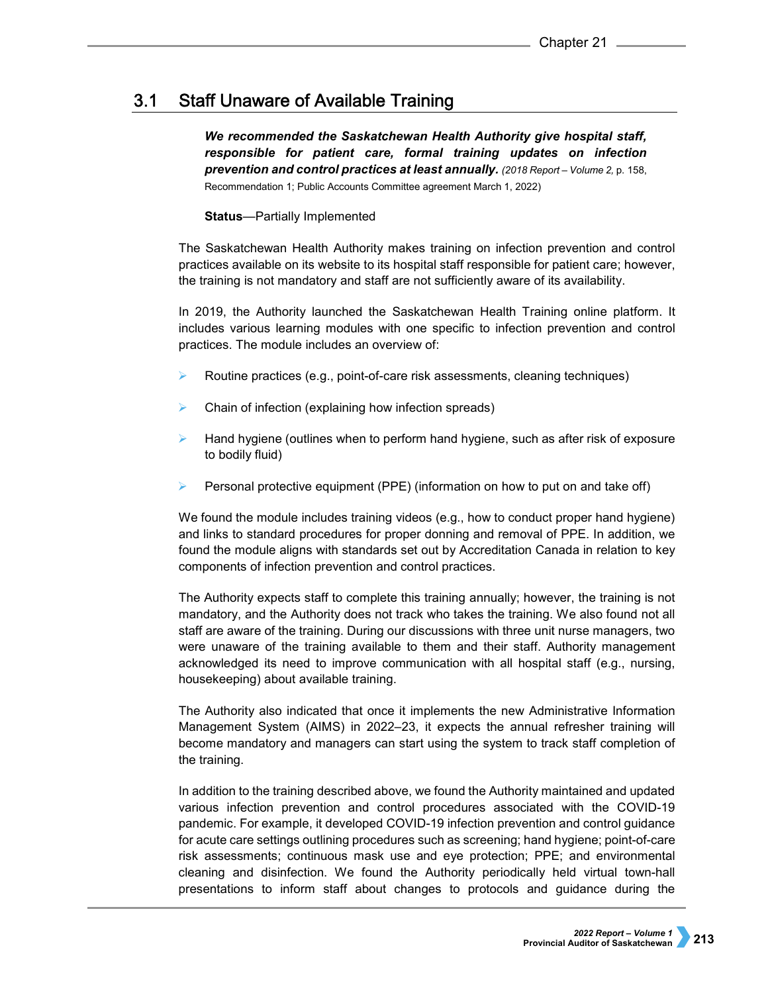### **Staff Unaware of Available Training**  $3.1$

*We recommended the Saskatchewan Health Authority give hospital staff, responsible for patient care, formal training updates on infection prevention and control practices at least annually. (2018 Report – Volume 2,* p. 158, Recommendation 1; Public Accounts Committee agreement March 1, 2022)

# **Status**—Partially Implemented

The Saskatchewan Health Authority makes training on infection prevention and control practices available on its website to its hospital staff responsible for patient care; however, the training is not mandatory and staff are not sufficiently aware of its availability.

In 2019, the Authority launched the Saskatchewan Health Training online platform. It includes various learning modules with one specific to infection prevention and control practices. The module includes an overview of:

- Routine practices (e.g., point-of-care risk assessments, cleaning techniques)
- Chain of infection (explaining how infection spreads)
- Hand hygiene (outlines when to perform hand hygiene, such as after risk of exposure to bodily fluid)
- Personal protective equipment (PPE) (information on how to put on and take off)

We found the module includes training videos (e.g., how to conduct proper hand hygiene) and links to standard procedures for proper donning and removal of PPE. In addition, we found the module aligns with standards set out by Accreditation Canada in relation to key components of infection prevention and control practices.

The Authority expects staff to complete this training annually; however, the training is not mandatory, and the Authority does not track who takes the training. We also found not all staff are aware of the training. During our discussions with three unit nurse managers, two were unaware of the training available to them and their staff. Authority management acknowledged its need to improve communication with all hospital staff (e.g., nursing, housekeeping) about available training.

The Authority also indicated that once it implements the new Administrative Information Management System (AIMS) in 2022–23, it expects the annual refresher training will become mandatory and managers can start using the system to track staff completion of the training.

In addition to the training described above, we found the Authority maintained and updated various infection prevention and control procedures associated with the COVID-19 pandemic. For example, it developed COVID-19 infection prevention and control guidance for acute care settings outlining procedures such as screening; hand hygiene; point-of-care risk assessments; continuous mask use and eye protection; PPE; and environmental cleaning and disinfection. We found the Authority periodically held virtual town-hall presentations to inform staff about changes to protocols and guidance during the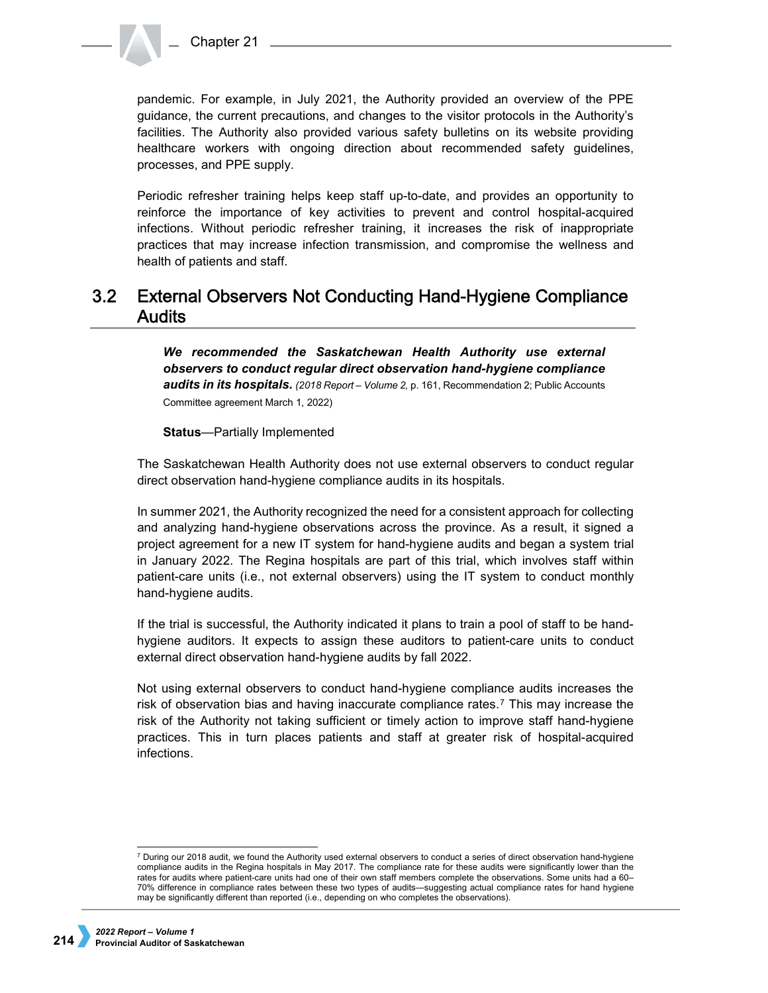

pandemic. For example, in July 2021, the Authority provided an overview of the PPE guidance, the current precautions, and changes to the visitor protocols in the Authority's facilities. The Authority also provided various safety bulletins on its website providing healthcare workers with ongoing direction about recommended safety guidelines, processes, and PPE supply.

Periodic refresher training helps keep staff up-to-date, and provides an opportunity to reinforce the importance of key activities to prevent and control hospital-acquired infections. Without periodic refresher training, it increases the risk of inappropriate practices that may increase infection transmission, and compromise the wellness and health of patients and staff.

### **External Observers Not Conducting Hand-Hygiene Compliance**  $3.2<sub>2</sub>$ **Audits**

*We recommended the Saskatchewan Health Authority use external observers to conduct regular direct observation hand-hygiene compliance*  audits in its hospitals. (2018 Report – Volume 2, p. 161, Recommendation 2; Public Accounts Committee agreement March 1, 2022)

**Status**—Partially Implemented

The Saskatchewan Health Authority does not use external observers to conduct regular direct observation hand-hygiene compliance audits in its hospitals.

In summer 2021, the Authority recognized the need for a consistent approach for collecting and analyzing hand-hygiene observations across the province. As a result, it signed a project agreement for a new IT system for hand-hygiene audits and began a system trial in January 2022. The Regina hospitals are part of this trial, which involves staff within patient-care units (i.e., not external observers) using the IT system to conduct monthly hand-hygiene audits.

If the trial is successful, the Authority indicated it plans to train a pool of staff to be handhygiene auditors. It expects to assign these auditors to patient-care units to conduct external direct observation hand-hygiene audits by fall 2022.

Not using external observers to conduct hand-hygiene compliance audits increases the risk of observation bias and having inaccurate compliance rates.<sup>[7](#page-3-0)</sup> This may increase the risk of the Authority not taking sufficient or timely action to improve staff hand-hygiene practices. This in turn places patients and staff at greater risk of hospital-acquired infections.

<span id="page-3-0"></span><sup>-</sup><sup>7</sup> During our 2018 audit, we found the Authority used external observers to conduct a series of direct observation hand-hygiene compliance audits in the Regina hospitals in May 2017. The compliance rate for these audits were significantly lower than the rates for audits where patient-care units had one of their own staff members complete the observations. Some units had a 60– 70% difference in compliance rates between these two types of audits—suggesting actual compliance rates for hand hygiene may be significantly different than reported (i.e., depending on who completes the observations).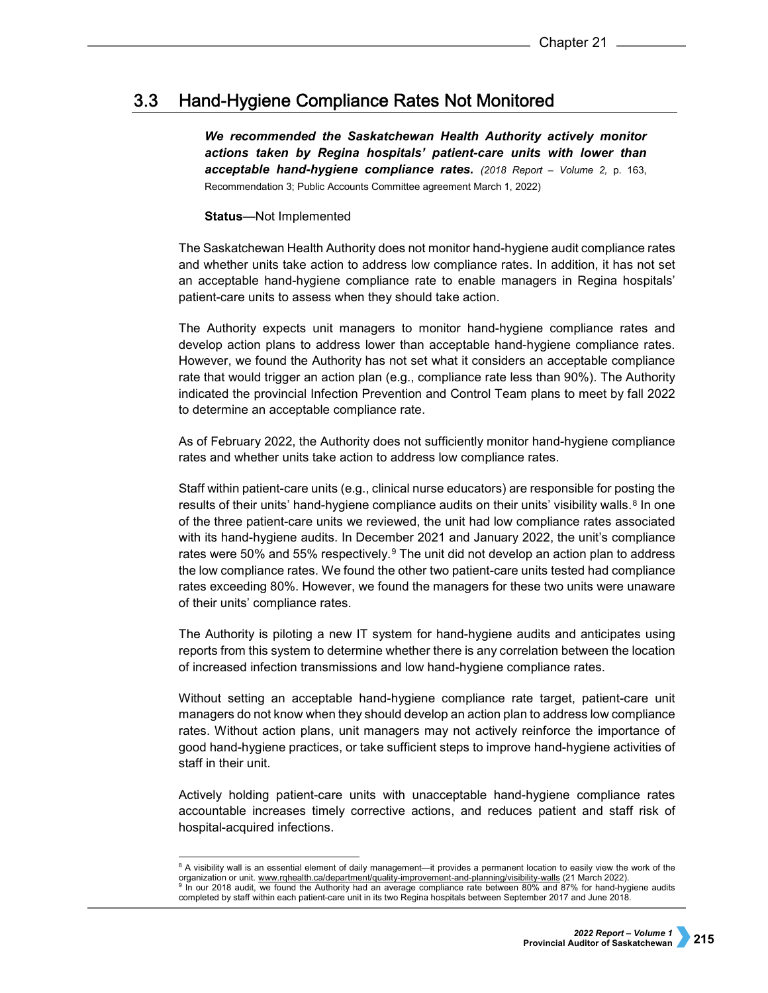### Hand-Hygiene Compliance Rates Not Monitored  $3.3$

*We recommended the Saskatchewan Health Authority actively monitor actions taken by Regina hospitals' patient-care units with lower than acceptable hand-hygiene compliance rates. (2018 Report – Volume 2,* p. 163, Recommendation 3; Public Accounts Committee agreement March 1, 2022)

## **Status**—Not Implemented

The Saskatchewan Health Authority does not monitor hand-hygiene audit compliance rates and whether units take action to address low compliance rates. In addition, it has not set an acceptable hand-hygiene compliance rate to enable managers in Regina hospitals' patient-care units to assess when they should take action.

The Authority expects unit managers to monitor hand-hygiene compliance rates and develop action plans to address lower than acceptable hand-hygiene compliance rates. However, we found the Authority has not set what it considers an acceptable compliance rate that would trigger an action plan (e.g., compliance rate less than 90%). The Authority indicated the provincial Infection Prevention and Control Team plans to meet by fall 2022 to determine an acceptable compliance rate.

As of February 2022, the Authority does not sufficiently monitor hand-hygiene compliance rates and whether units take action to address low compliance rates.

Staff within patient-care units (e.g., clinical nurse educators) are responsible for posting the results of their units' hand-hygiene compliance audits on their units' visibility walls. $8 \text{ In one}$  $8 \text{ In one}$ of the three patient-care units we reviewed, the unit had low compliance rates associated with its hand-hygiene audits. In December 2021 and January 2022, the unit's compliance rates were 50% and 55% respectively. $9$  The unit did not develop an action plan to address the low compliance rates. We found the other two patient-care units tested had compliance rates exceeding 80%. However, we found the managers for these two units were unaware of their units' compliance rates.

The Authority is piloting a new IT system for hand-hygiene audits and anticipates using reports from this system to determine whether there is any correlation between the location of increased infection transmissions and low hand-hygiene compliance rates.

Without setting an acceptable hand-hygiene compliance rate target, patient-care unit managers do not know when they should develop an action plan to address low compliance rates. Without action plans, unit managers may not actively reinforce the importance of good hand-hygiene practices, or take sufficient steps to improve hand-hygiene activities of staff in their unit.

Actively holding patient-care units with unacceptable hand-hygiene compliance rates accountable increases timely corrective actions, and reduces patient and staff risk of hospital-acquired infections.

<span id="page-4-1"></span><span id="page-4-0"></span> $8$  A visibility wall is an essential element of daily management—it provides a permanent location to easily view the work of the organization or unit. [www.rqhealth.ca/department/quality-improvement-and-planning/visibility-walls](https://www.rqhealth.ca/department/quality-improvement-and-planning/visibility-walls) (21 March 2022). 9 In our 2018 audit, we found the Authority had an average compliance rate between 80% and 87% for hand-hygiene audits completed by staff within each patient-care unit in its two Regina hospitals between September 2017 and June 2018.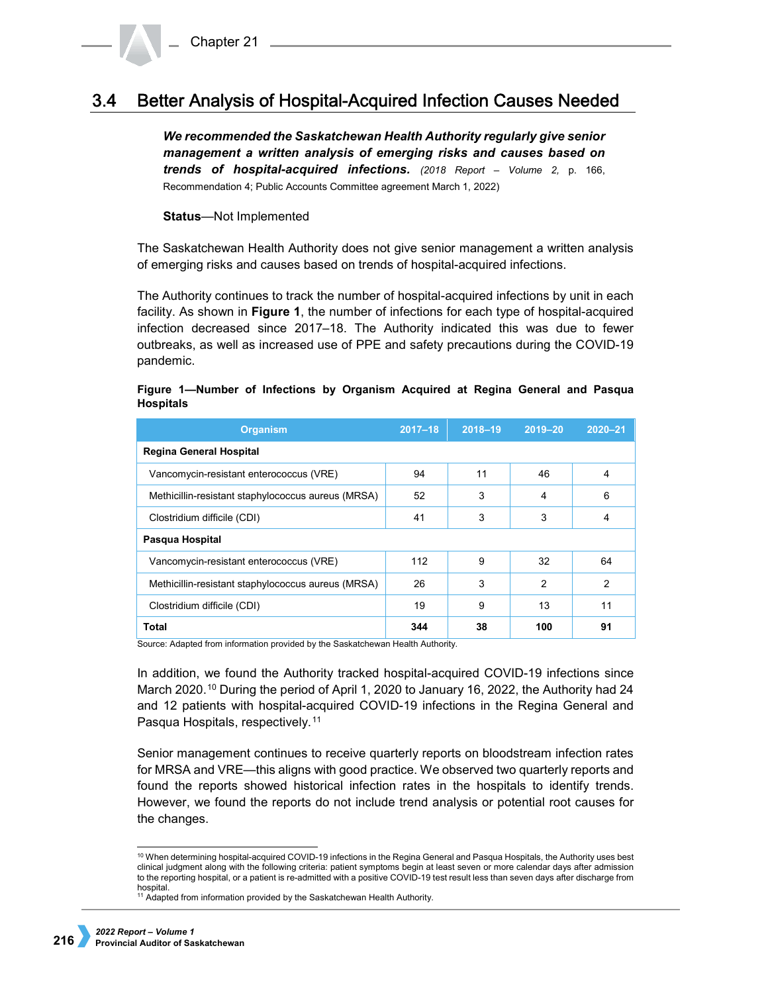### Better Analysis of Hospital-Acquired Infection Causes Needed  $3.4^{\circ}$

*We recommended the Saskatchewan Health Authority regularly give senior management a written analysis of emerging risks and causes based on trends of hospital-acquired infections. (2018 Report – Volume 2,* p. 166, Recommendation 4; Public Accounts Committee agreement March 1, 2022)

**Status**—Not Implemented

The Saskatchewan Health Authority does not give senior management a written analysis of emerging risks and causes based on trends of hospital-acquired infections.

The Authority continues to track the number of hospital-acquired infections by unit in each facility. As shown in **Figure 1**, the number of infections for each type of hospital-acquired infection decreased since 2017–18. The Authority indicated this was due to fewer outbreaks, as well as increased use of PPE and safety precautions during the COVID-19 pandemic.

# **Figure 1—Number of Infections by Organism Acquired at Regina General and Pasqua Hospitals**

| <b>Organism</b>                                    | $2017 - 18$ | $2018 - 19$ | $2019 - 20$    | $2020 - 21$    |
|----------------------------------------------------|-------------|-------------|----------------|----------------|
| <b>Regina General Hospital</b>                     |             |             |                |                |
| Vancomycin-resistant enterococcus (VRE)            | 94          | 11          | 46             | 4              |
| Methicillin-resistant staphylococcus aureus (MRSA) | 52          | 3           | 4              | 6              |
| Clostridium difficile (CDI)                        | 41          | 3           | 3              | 4              |
| Pasqua Hospital                                    |             |             |                |                |
| Vancomycin-resistant enterococcus (VRE)            | 112         | 9           | 32             | 64             |
| Methicillin-resistant staphylococcus aureus (MRSA) | 26          | 3           | $\mathfrak{p}$ | $\mathfrak{p}$ |
| Clostridium difficile (CDI)                        | 19          | 9           | 13             | 11             |
| Total                                              | 344         | 38          | 100            | 91             |

Source: Adapted from information provided by the Saskatchewan Health Authority.

In addition, we found the Authority tracked hospital-acquired COVID-19 infections since March 2020.[10](#page-5-0) During the period of April 1, 2020 to January 16, 2022, the Authority had 24 and 12 patients with hospital-acquired COVID-19 infections in the Regina General and Pasqua Hospitals, respectively.[11](#page-5-1)

Senior management continues to receive quarterly reports on bloodstream infection rates for MRSA and VRE—this aligns with good practice. We observed two quarterly reports and found the reports showed historical infection rates in the hospitals to identify trends. However, we found the reports do not include trend analysis or potential root causes for the changes.

<span id="page-5-0"></span> <sup>10</sup> When determining hospital-acquired COVID-19 infections in the Regina General and Pasqua Hospitals, the Authority uses best clinical judgment along with the following criteria: patient symptoms begin at least seven or more calendar days after admission to the reporting hospital, or a patient is re-admitted with a positive COVID-19 test result less than seven days after discharge from hospital.

<span id="page-5-1"></span><sup>&</sup>lt;sup>11</sup> Adapted from information provided by the Saskatchewan Health Authority.